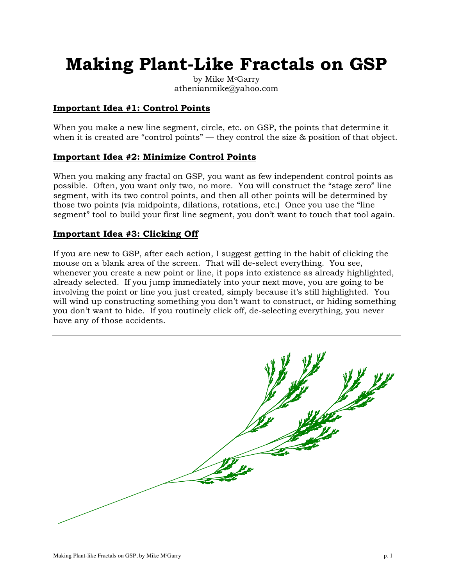# **Making Plant-Like Fractals on GSP**

by Mike M<sup>c</sup>Garry athenianmike@yahoo.com

### **Important Idea #1: Control Points**

When you make a new line segment, circle, etc. on GSP, the points that determine it when it is created are "control points" — they control the size & position of that object.

### **Important Idea #2: Minimize Control Points**

When you making any fractal on GSP, you want as few independent control points as possible. Often, you want only two, no more. You will construct the "stage zero" line segment, with its two control points, and then all other points will be determined by those two points (via midpoints, dilations, rotations, etc.) Once you use the "line segment" tool to build your first line segment, you don't want to touch that tool again.

### **Important Idea #3: Clicking Off**

If you are new to GSP, after each action, I suggest getting in the habit of clicking the mouse on a blank area of the screen. That will de-select everything. You see, whenever you create a new point or line, it pops into existence as already highlighted, already selected. If you jump immediately into your next move, you are going to be involving the point or line you just created, simply because it's still highlighted. You will wind up constructing something you don't want to construct, or hiding something you don't want to hide. If you routinely click off, de-selecting everything, you never have any of those accidents.

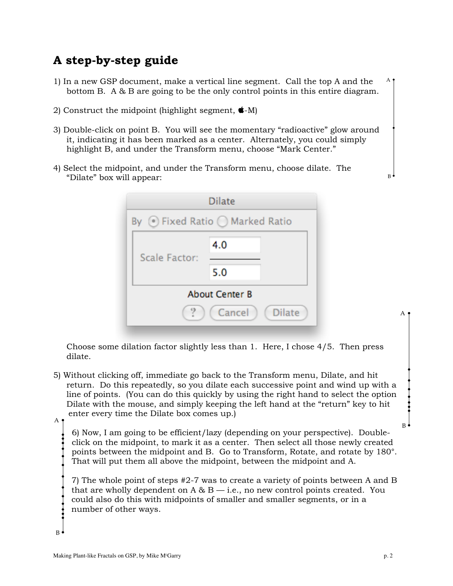### **A step-by-step guide**

- 1) In a new GSP document, make a vertical line segment. Call the top A and the bottom B. A & B are going to be the only control points in this entire diagram. A
- 2) Construct the midpoint (highlight segment,  $\triangleleft$ -M)
- 3) Double-click on point B. You will see the momentary "radioactive" glow around it, indicating it has been marked as a center. Alternately, you could simply highlight B, and under the Transform menu, choose "Mark Center."
- 4) Select the midpoint, and under the Transform menu, choose dilate. The "Dilate" box will appear:



Choose some dilation factor slightly less than 1. Here, I chose 4/5. Then press dilate.

5) Without clicking off, immediate go back to the Transform menu, Dilate, and hit return. Do this repeatedly, so you dilate each successive point and wind up with a line of points. (You can do this quickly by using the right hand to select the option Dilate with the mouse, and simply keeping the left hand at the "return" key to hit enter every time the Dilate box comes up.) A

6) Now, I am going to be efficient/lazy (depending on your perspective). Doubleclick on the midpoint, to mark it as a center. Then select all those newly created points between the midpoint and B. Go to Transform, Rotate, and rotate by 180°. That will put them all above the midpoint, between the midpoint and A.

7) The whole point of steps #2-7 was to create a variety of points between A and B that are wholly dependent on  $A \& B - i.e.,$  no new control points created. You could also do this with midpoints of smaller and smaller segments, or in a number of other ways.

#### $B^{\circ}$

B

A

B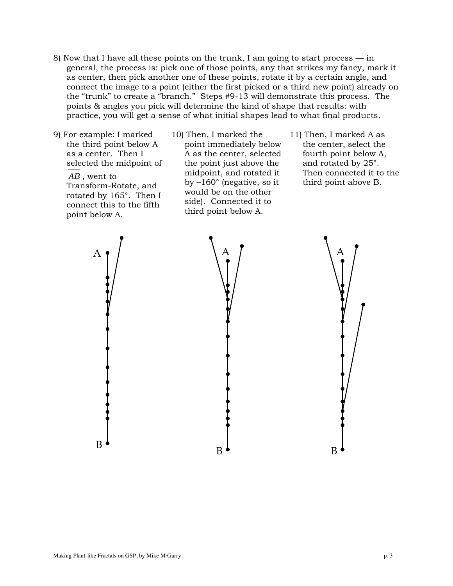- 8) Now that I have all these points on the trunk, I am going to start process in general, the process is: pick one of those points, any that strikes my fancy, mark it as center, then pick another one of these points, rotate it by a certain angle, and connect the image to a point (either the first picked or a third new point) already on the "trunk" to create a "branch." Steps #9-13 will demonstrate this process. The points & angles you pick will determine the kind of shape that results: with practice, you will get a sense of what initial shapes lead to what final products.
- 9) For example: I marked the third point below A as a center. Then I selected the midpoint of *AB* , went to Transform-Rotate, and rotated by 165°. Then I connect this to the fifth point below A.
- 10) Then, I marked the point immediately below A as the center, selected the point just above the midpoint, and rotated it by –160° (negative, so it would be on the other side). Connected it to third point below A.
- 11) Then, I marked A as the center, select the fourth point below A, and rotated by 25°. Then connected it to the third point above B.

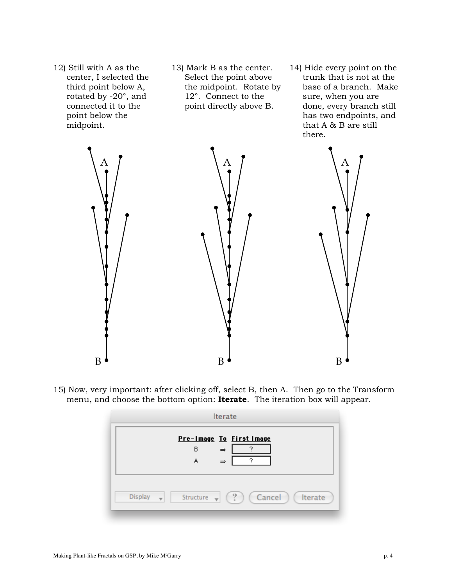- 12) Still with A as the center, I selected the third point below A, rotated by -20°, and connected it to the point below the midpoint.
- 13) Mark B as the center. Select the point above the midpoint. Rotate by 12°. Connect to the point directly above B.
- 14) Hide every point on the trunk that is not at the base of a branch. Make sure, when you are done, every branch still has two endpoints, and that A & B are still there.



15) Now, very important: after clicking off, select B, then A. Then go to the Transform menu, and choose the bottom option: **Iterate**. The iteration box will appear.

|                | Iterate                                                                                    |
|----------------|--------------------------------------------------------------------------------------------|
|                | Pre-Image To First Image<br>в<br>$\Rightarrow$                                             |
|                | 2<br>A<br>$\Rightarrow$                                                                    |
|                |                                                                                            |
| <b>Display</b> | $\binom{9}{1}$<br>Cancel<br>Iterate<br>Structure $\rightarrow$<br>$\overline{\phantom{a}}$ |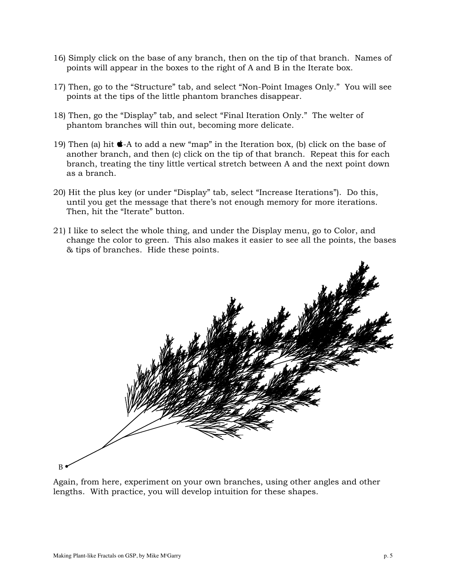- 16) Simply click on the base of any branch, then on the tip of that branch. Names of points will appear in the boxes to the right of A and B in the Iterate box.
- 17) Then, go to the "Structure" tab, and select "Non-Point Images Only." You will see points at the tips of the little phantom branches disappear.
- 18) Then, go the "Display" tab, and select "Final Iteration Only." The welter of phantom branches will thin out, becoming more delicate.
- 19) Then (a) hit  $\bullet$ -A to add a new "map" in the Iteration box, (b) click on the base of another branch, and then (c) click on the tip of that branch. Repeat this for each branch, treating the tiny little vertical stretch between A and the next point down as a branch.
- 20) Hit the plus key (or under "Display" tab, select "Increase Iterations"). Do this, until you get the message that there's not enough memory for more iterations. Then, hit the "Iterate" button.
- 21) I like to select the whole thing, and under the Display menu, go to Color, and change the color to green. This also makes it easier to see all the points, the bases & tips of branches. Hide these points.



Again, from here, experiment on your own branches, using other angles and other lengths. With practice, you will develop intuition for these shapes.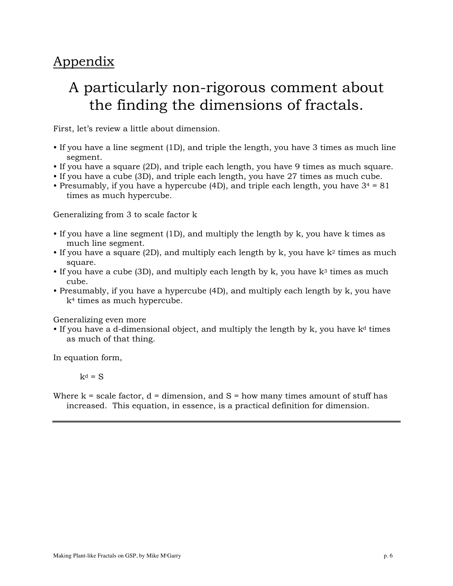### Appendix

## A particularly non-rigorous comment about the finding the dimensions of fractals.

First, let's review a little about dimension.

- If you have a line segment (1D), and triple the length, you have 3 times as much line segment.
- If you have a square (2D), and triple each length, you have 9 times as much square.
- If you have a cube (3D), and triple each length, you have 27 times as much cube.
- Presumably, if you have a hypercube (4D), and triple each length, you have  $3^4 = 81$ times as much hypercube.

Generalizing from 3 to scale factor k

- If you have a line segment (1D), and multiply the length by k, you have k times as much line segment.
- If you have a square (2D), and multiply each length by k, you have  $k^2$  times as much square.
- If you have a cube (3D), and multiply each length by k, you have  $k^3$  times as much cube.
- Presumably, if you have a hypercube (4D), and multiply each length by k, you have k4 times as much hypercube.

Generalizing even more

• If you have a d-dimensional object, and multiply the length by  $k$ , you have  $k<sup>d</sup>$  times as much of that thing.

In equation form,

 $k^d = S$ 

Where  $k =$  scale factor,  $d =$  dimension, and  $S =$  how many times amount of stuff has increased. This equation, in essence, is a practical definition for dimension.